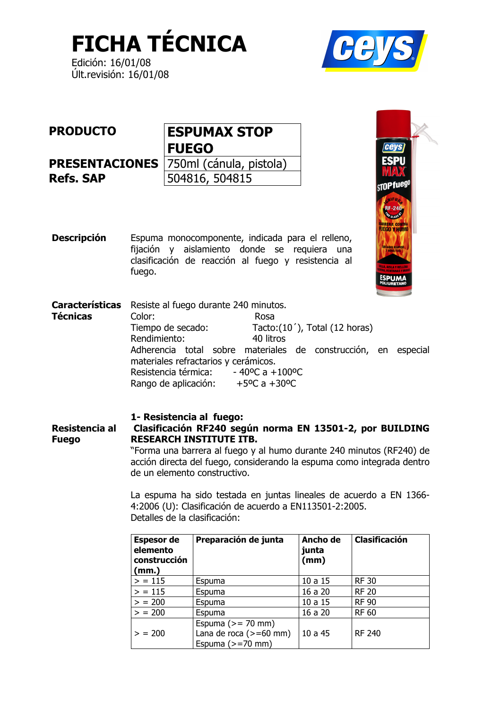**FICHA TÉCNICA** 

Edición: 16/01/08 Últ.revisión: 16/01/08



| <b>PRODUCTO</b>  | <b>ESPUMAX STOP</b>                           |
|------------------|-----------------------------------------------|
|                  | <b>FUEGO</b>                                  |
|                  | <b>PRESENTACIONES</b> 750ml (cánula, pistola) |
| <b>Refs. SAP</b> | 504816, 504815                                |
|                  |                                               |

**Descripción** Espuma monocomponente, indicada para el relleno, fijación y aislamiento donde se requiera una clasificación de reacción al fuego y resistencia al fuego.

**Características** Resiste al fuego durante 240 minutos. **Técnicas** Color: Rosa Tiempo de secado: Tacto:(10'), Total (12 horas) Rendimiento: 40 litros Adherencia total sobre materiales de construcción, en especial materiales refractarios y cerámicos. Resistencia térmica:  $-40$ <sup>o</sup>C a  $+100$ <sup>o</sup>C Rango de aplicación:  $+5^{\circ}$ C a  $+30^{\circ}$ C

#### 1- Resistencia al fuego: Resistencia al Clasificación RF240 según norma EN 13501-2, por BUILDING **Fuego RESEARCH INSTITUTE ITB.** "Forma una barrera al fuego y al humo durante 240 minutos (RF240) de

acción directa del fuego, considerando la espuma como integrada dentro de un elemento constructivo.

La espuma ha sido testada en juntas lineales de acuerdo a EN 1366-4:2006 (U): Clasificación de acuerdo a EN113501-2:2005. Detalles de la clasificación:

| <b>Espesor de</b><br>elemento<br>construcción<br>(mm.) | Preparación de junta                                                  | Ancho de<br>junta<br>(mm) | Clasificación |
|--------------------------------------------------------|-----------------------------------------------------------------------|---------------------------|---------------|
| > 115                                                  | Espuma                                                                | 10a15                     | <b>RF30</b>   |
| > 115                                                  | Espuma                                                                | 16 a 20                   | <b>RF 20</b>  |
| > 200                                                  | Espuma                                                                | 10a15                     | <b>RF 90</b>  |
| > 200                                                  | Espuma                                                                | 16 a 20                   | <b>RF 60</b>  |
| > 200                                                  | Espuma $(>= 70$ mm)<br>Lana de roca $(>=60$ mm)<br>Espuma $(>=70$ mm) | 10a45                     | <b>RF 240</b> |

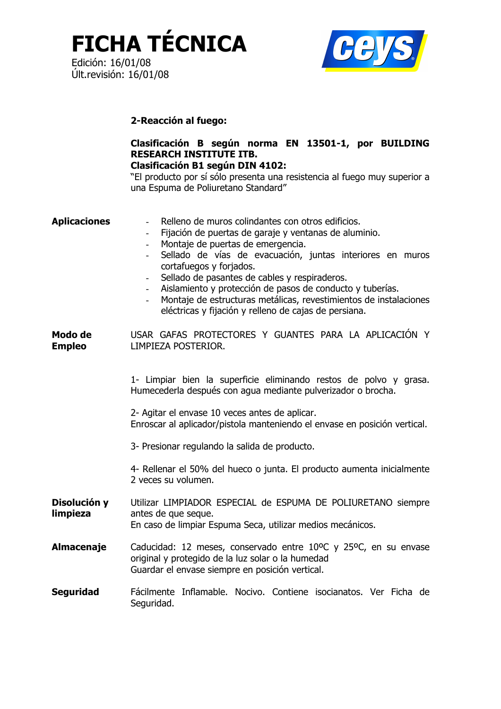**FICHA TÉCNICA** 



## 2-Reacción al fuego:

# Clasificación B según norma EN 13501-1, por BUILDING **RESEARCH INSTITUTE ITB.**

### **Clasificación B1 según DIN 4102:**

"El producto por sí sólo presenta una resistencia al fuego muy superior a una Espuma de Poliuretano Standard"

| <b>Aplicaciones</b>      | Relleno de muros colindantes con otros edificios.<br>Fijación de puertas de garaje y ventanas de aluminio.<br>$\sim$ 10 $\pm$<br>Montaje de puertas de emergencia.<br>$\sim$<br>Sellado de vías de evacuación, juntas interiores en muros<br>cortafuegos y forjados.<br>Sellado de pasantes de cables y respiraderos.<br>Aislamiento y protección de pasos de conducto y tuberías.<br>Montaje de estructuras metálicas, revestimientos de instalaciones<br>eléctricas y fijación y relleno de cajas de persiana. |
|--------------------------|------------------------------------------------------------------------------------------------------------------------------------------------------------------------------------------------------------------------------------------------------------------------------------------------------------------------------------------------------------------------------------------------------------------------------------------------------------------------------------------------------------------|
| Modo de<br><b>Empleo</b> | USAR GAFAS PROTECTORES Y GUANTES PARA LA APLICACIÓN Y<br>LIMPIEZA POSTERIOR.                                                                                                                                                                                                                                                                                                                                                                                                                                     |
|                          | 1- Limpiar bien la superficie eliminando restos de polvo y grasa.<br>Humecederla después con agua mediante pulverizador o brocha.                                                                                                                                                                                                                                                                                                                                                                                |
|                          | 2- Agitar el envase 10 veces antes de aplicar.<br>Enroscar al aplicador/pistola manteniendo el envase en posición vertical.                                                                                                                                                                                                                                                                                                                                                                                      |
|                          | 3- Presionar regulando la salida de producto.                                                                                                                                                                                                                                                                                                                                                                                                                                                                    |
|                          | 4- Rellenar el 50% del hueco o junta. El producto aumenta inicialmente<br>2 veces su volumen.                                                                                                                                                                                                                                                                                                                                                                                                                    |
| Disolución y<br>limpieza | Utilizar LIMPIADOR ESPECIAL de ESPUMA DE POLIURETANO siempre<br>antes de que seque.<br>En caso de limpiar Espuma Seca, utilizar medios mecánicos.                                                                                                                                                                                                                                                                                                                                                                |
| <b>Almacenaje</b>        | Caducidad: 12 meses, conservado entre 10°C y 25°C, en su envase<br>original y protegido de la luz solar o la humedad<br>Guardar el envase siempre en posición vertical.                                                                                                                                                                                                                                                                                                                                          |
| <b>Seguridad</b>         | Fácilmente Inflamable. Nocivo. Contiene isocianatos. Ver Ficha de<br>Seguridad.                                                                                                                                                                                                                                                                                                                                                                                                                                  |